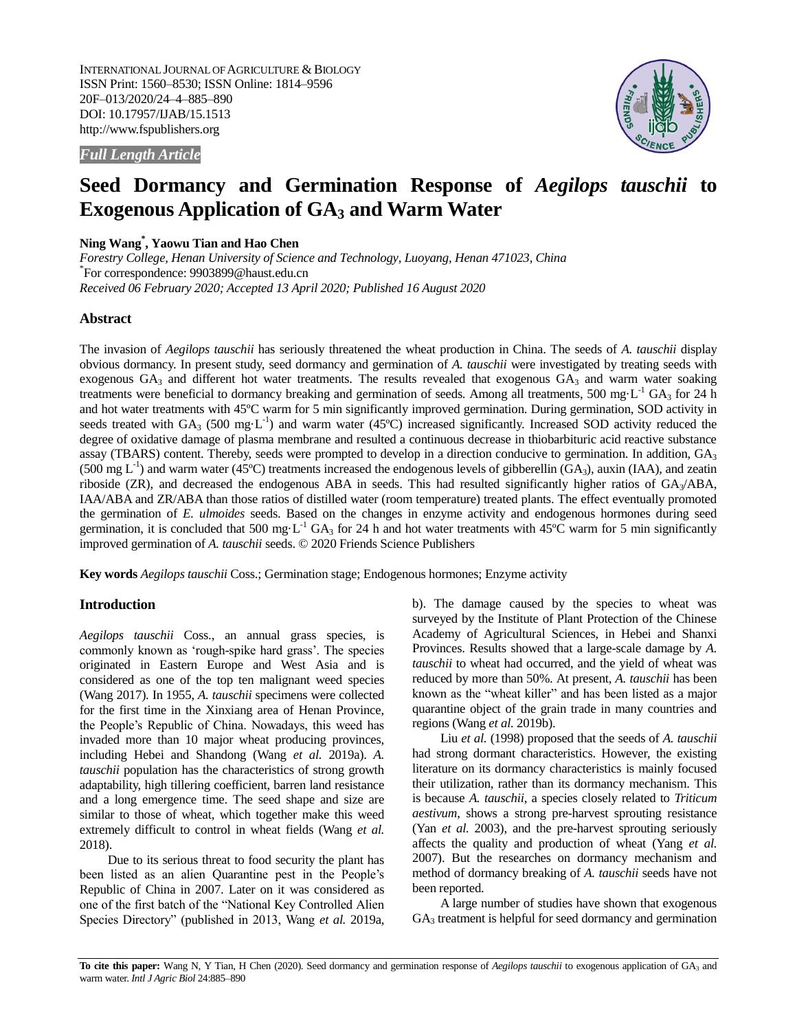INTERNATIONAL JOURNAL OF AGRICULTURE & BIOLOGY ISSN Print: 1560–8530; ISSN Online: 1814–9596 20F–013/2020/24–4–885–890 DOI: 10.17957/IJAB/15.1513 http://www.fspublishers.org



*Full Length Article*

# **Seed Dormancy and Germination Response of** *Aegilops tauschii* **to Exogenous Application of GA<sup>3</sup> and Warm Water**

# **Ning Wang\* , Yaowu Tian and Hao Chen**

*Forestry College, Henan University of Science and Technology, Luoyang, Henan 471023, China* \* For correspondence: 9903899@haust.edu.cn *Received 06 February 2020; Accepted 13 April 2020; Published 16 August 2020*

# **Abstract**

The invasion of *Aegilops tauschii* has seriously threatened the wheat production in China. The seeds of *A. tauschii* display obvious dormancy. In present study, seed dormancy and germination of *A. tauschii* were investigated by treating seeds with exogenous  $GA_3$  and different hot water treatments. The results revealed that exogenous  $GA_3$  and warm water soaking treatments were beneficial to dormancy breaking and germination of seeds. Among all treatments, 500 mg·L<sup>-1</sup> GA<sub>3</sub> for 24 h and hot water treatments with 45ºC warm for 5 min significantly improved germination. During germination, SOD activity in seeds treated with  $GA_3$  (500 mg·L<sup>-1</sup>) and warm water (45°C) increased significantly. Increased SOD activity reduced the degree of oxidative damage of plasma membrane and resulted a continuous decrease in thiobarbituric acid reactive substance assay (TBARS) content. Thereby, seeds were prompted to develop in a direction conducive to germination. In addition,  $GA<sub>3</sub>$ (500 mg  $L^{-1}$ ) and warm water (45°C) treatments increased the endogenous levels of gibberellin (GA<sub>3</sub>), auxin (IAA), and zeatin riboside (ZR), and decreased the endogenous ABA in seeds. This had resulted significantly higher ratios of  $GA_3/ABA$ , IAA/ABA and ZR/ABA than those ratios of distilled water (room temperature) treated plants. The effect eventually promoted the germination of *E. ulmoides* seeds. Based on the changes in enzyme activity and endogenous hormones during seed germination, it is concluded that 500 mg·L<sup>-1</sup> GA<sub>3</sub> for 24 h and hot water treatments with 45°C warm for 5 min significantly improved germination of *A. tauschii* seeds. © 2020 Friends Science Publishers

**Key words** *Aegilops tauschii* Coss.; Germination stage; Endogenous hormones; Enzyme activity

# **Introduction**

*Aegilops tauschii* Coss., an annual grass species, is commonly known as 'rough-spike hard grass'. The species originated in Eastern Europe and West Asia and is considered as one of the top ten malignant weed species (Wang 2017). In 1955, *A. tauschii* specimens were collected for the first time in the Xinxiang area of Henan Province, the People"s Republic of China. Nowadays, this weed has invaded more than 10 major wheat producing provinces, including Hebei and Shandong (Wang *et al.* 2019a). *A. tauschii* population has the characteristics of strong growth adaptability, high tillering coefficient, barren land resistance and a long emergence time. The seed shape and size are similar to those of wheat, which together make this weed extremely difficult to control in wheat fields (Wang *et al.* 2018).

Due to its serious threat to food security the plant has been listed as an alien Quarantine pest in the People"s Republic of China in 2007. Later on it was considered as one of the first batch of the "National Key Controlled Alien Species Directory" (published in 2013, Wang *et al.* 2019a,

b). The damage caused by the species to wheat was surveyed by the Institute of Plant Protection of the Chinese Academy of Agricultural Sciences, in Hebei and Shanxi Provinces. Results showed that a large-scale damage by *A. tauschii* to wheat had occurred, and the yield of wheat was reduced by more than 50%. At present, *A. tauschii* has been known as the "wheat killer" and has been listed as a major quarantine object of the grain trade in many countries and regions (Wang *et al.* 2019b).

Liu *et al.* (1998) proposed that the seeds of *A. tauschii* had strong dormant characteristics. However, the existing literature on its dormancy characteristics is mainly focused their utilization, rather than its dormancy mechanism. This is because *A. tauschii*, a species closely related to *Triticum aestivum*, shows a strong pre-harvest sprouting resistance (Yan *et al.* 2003), and the pre-harvest sprouting seriously affects the quality and production of wheat (Yang *et al.* 2007). But the researches on dormancy mechanism and method of dormancy breaking of *A. tauschii* seeds have not been reported.

A large number of studies have shown that exogenous  $GA<sub>3</sub>$  treatment is helpful for seed dormancy and germination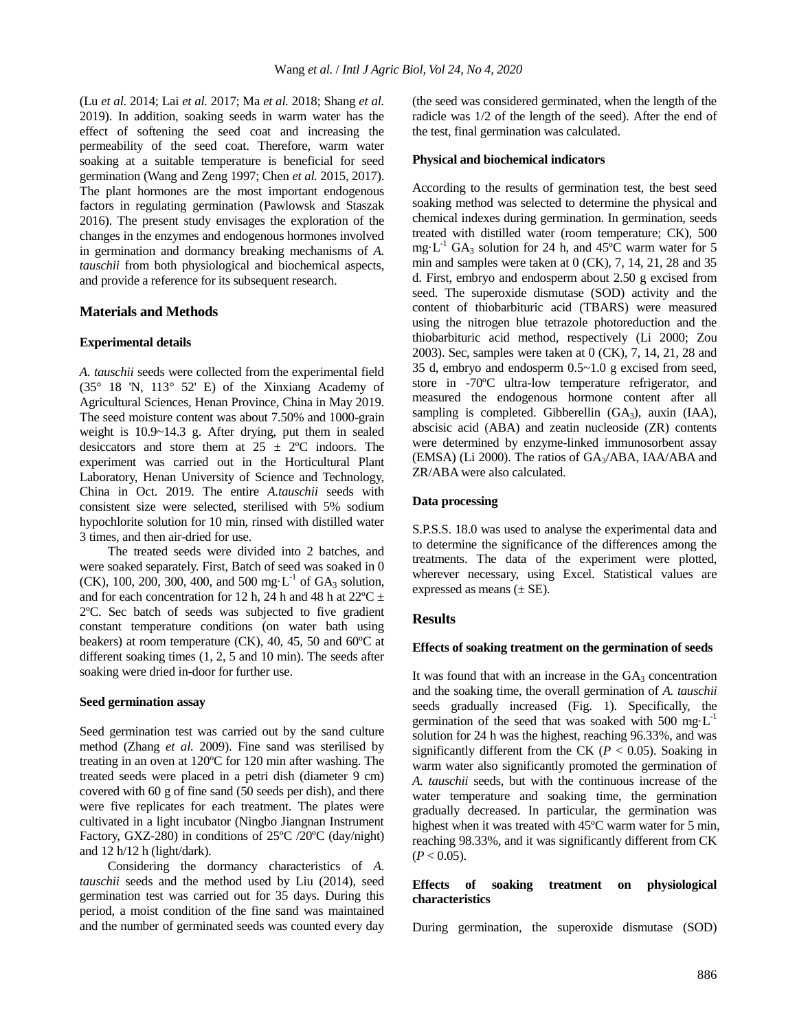(Lu *et al.* 2014; Lai *et al.* 2017; Ma *et al.* 2018; Shang *et al.* 2019). In addition, soaking seeds in warm water has the effect of softening the seed coat and increasing the permeability of the seed coat. Therefore, warm water soaking at a suitable temperature is beneficial for seed germination (Wang and Zeng 1997; Chen *et al.* 2015, 2017). The plant hormones are the most important endogenous factors in regulating germination (Pawlowsk and Staszak 2016). The present study envisages the exploration of the changes in the enzymes and endogenous hormones involved in germination and dormancy breaking mechanisms of *A. tauschii* from both physiological and biochemical aspects, and provide a reference for its subsequent research.

## **Materials and Methods**

### **Experimental details**

*A. tauschii* seeds were collected from the experimental field (35° 18 'N, 113° 52' E) of the Xinxiang Academy of Agricultural Sciences, Henan Province, China in May 2019. The seed moisture content was about 7.50% and 1000-grain weight is 10.9~14.3 g. After drying, put them in sealed desiccators and store them at  $25 \pm 2^{\circ}$ C indoors. The experiment was carried out in the Horticultural Plant Laboratory, Henan University of Science and Technology, China in Oct. 2019. The entire *A.tauschii* seeds with consistent size were selected, sterilised with 5% sodium hypochlorite solution for 10 min, rinsed with distilled water 3 times, and then air-dried for use.

The treated seeds were divided into 2 batches, and were soaked separately. First, Batch of seed was soaked in 0 (CK), 100, 200, 300, 400, and 500 mg·L<sup>-1</sup> of  $GA_3$  solution, and for each concentration for 12 h, 24 h and 48 h at 22 $^{\circ}$ C  $\pm$ 2ºC. Sec batch of seeds was subjected to five gradient constant temperature conditions (on water bath using beakers) at room temperature (CK), 40, 45, 50 and 60ºC at different soaking times (1, 2, 5 and 10 min). The seeds after soaking were dried in-door for further use.

### **Seed germination assay**

Seed germination test was carried out by the sand culture method (Zhang *et al.* 2009). Fine sand was sterilised by treating in an oven at 120ºC for 120 min after washing. The treated seeds were placed in a petri dish (diameter 9 cm) covered with 60 g of fine sand (50 seeds per dish), and there were five replicates for each treatment. The plates were cultivated in a light incubator (Ningbo Jiangnan Instrument Factory, GXZ-280) in conditions of 25ºC /20ºC (day/night) and 12 h/12 h (light/dark).

Considering the dormancy characteristics of *A. tauschii* seeds and the method used by Liu (2014), seed germination test was carried out for 35 days. During this period, a moist condition of the fine sand was maintained and the number of germinated seeds was counted every day (the seed was considered germinated, when the length of the radicle was 1/2 of the length of the seed). After the end of the test, final germination was calculated.

### **Physical and biochemical indicators**

According to the results of germination test, the best seed soaking method was selected to determine the physical and chemical indexes during germination. In germination, seeds treated with distilled water (room temperature; CK), 500 mg·L<sup>-1</sup> GA<sub>3</sub> solution for 24 h, and 45°C warm water for 5 min and samples were taken at 0 (CK), 7, 14, 21, 28 and 35 d. First, embryo and endosperm about 2.50 g excised from seed. The superoxide dismutase (SOD) activity and the content of thiobarbituric acid (TBARS) were measured using the nitrogen blue tetrazole photoreduction and the thiobarbituric acid method, respectively (Li 2000; Zou 2003). Sec, samples were taken at 0 (CK), 7, 14, 21, 28 and 35 d, embryo and endosperm 0.5~1.0 g excised from seed, store in -70ºC ultra-low temperature refrigerator, and measured the endogenous hormone content after all sampling is completed. Gibberellin  $(GA_3)$ , auxin  $(IAA)$ , abscisic acid (ABA) and zeatin nucleoside (ZR) contents were determined by enzyme-linked immunosorbent assay (EMSA) (Li 2000). The ratios of  $GA_3/ABA$ , IAA/ABA and ZR/ABA were also calculated.

## **Data processing**

S.P.S.S. 18.0 was used to analyse the experimental data and to determine the significance of the differences among the treatments. The data of the experiment were plotted, wherever necessary, using Excel. Statistical values are expressed as means  $(\pm$  SE).

## **Results**

#### **Effects of soaking treatment on the germination of seeds**

It was found that with an increase in the  $GA_3$  concentration and the soaking time, the overall germination of *A. tauschii* seeds gradually increased (Fig. 1). Specifically, the germination of the seed that was soaked with  $500 \text{ mg} \cdot L^{-1}$ solution for 24 h was the highest, reaching 96.33%, and was significantly different from the CK ( $P < 0.05$ ). Soaking in warm water also significantly promoted the germination of *A. tauschii* seeds, but with the continuous increase of the water temperature and soaking time, the germination gradually decreased. In particular, the germination was highest when it was treated with 45ºC warm water for 5 min, reaching 98.33%, and it was significantly different from CK  $(P < 0.05)$ .

## **Effects of soaking treatment on physiological characteristics**

During germination, the superoxide dismutase (SOD)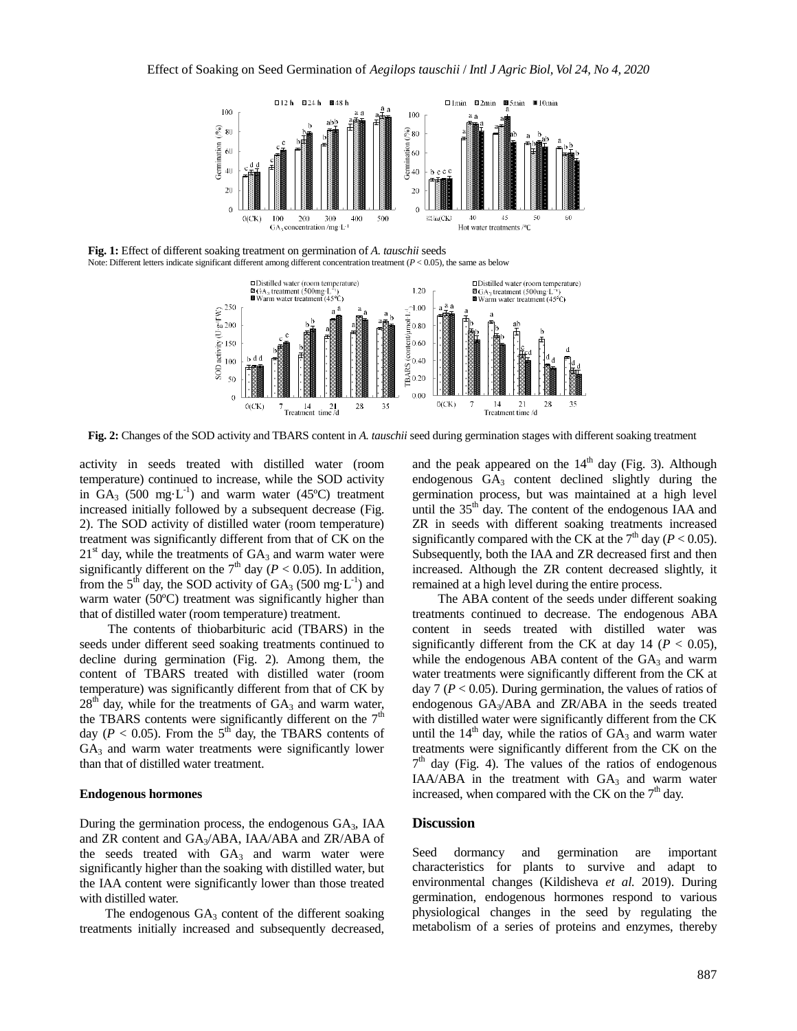

**Fig. 1:** Effect of different soaking treatment on germination of *A. tauschii* seeds Note: Different letters indicate significant different among different concentration treatment  $(P < 0.05)$ , the same as below



**Fig. 2:** Changes of the SOD activity and TBARS content in *A. tauschii* seed during germination stages with different soaking treatment

activity in seeds treated with distilled water (room temperature) continued to increase, while the SOD activity in  $GA_3$  (500 mg·L<sup>-1</sup>) and warm water (45°C) treatment increased initially followed by a subsequent decrease (Fig. 2). The SOD activity of distilled water (room temperature) treatment was significantly different from that of CK on the  $21<sup>st</sup>$  day, while the treatments of  $GA_3$  and warm water were significantly different on the  $7<sup>th</sup>$  day ( $P < 0.05$ ). In addition, from the  $5^{th}$  day, the SOD activity of  $GA_3$  (500 mg·L<sup>-1</sup>) and warm water (50°C) treatment was significantly higher than that of distilled water (room temperature) treatment.

The contents of thiobarbituric acid (TBARS) in the seeds under different seed soaking treatments continued to decline during germination (Fig. 2). Among them, the content of TBARS treated with distilled water (room temperature) was significantly different from that of CK by  $28<sup>th</sup>$  day, while for the treatments of  $GA_3$  and warm water, the TBARS contents were significantly different on the  $7<sup>th</sup>$ day ( $P < 0.05$ ). From the 5<sup>th</sup> day, the TBARS contents of  $GA<sub>3</sub>$  and warm water treatments were significantly lower than that of distilled water treatment.

## **Endogenous hormones**

During the germination process, the endogenous GA3, IAA and ZR content and GA3/ABA, IAA/ABA and ZR/ABA of the seeds treated with  $GA_3$  and warm water were significantly higher than the soaking with distilled water, but the IAA content were significantly lower than those treated with distilled water.

The endogenous  $GA_3$  content of the different soaking treatments initially increased and subsequently decreased, and the peak appeared on the  $14<sup>th</sup>$  day (Fig. 3). Although endogenous GA<sub>3</sub> content declined slightly during the germination process, but was maintained at a high level until the  $35<sup>th</sup>$  day. The content of the endogenous IAA and ZR in seeds with different soaking treatments increased significantly compared with the CK at the  $7<sup>th</sup>$  day ( $P < 0.05$ ). Subsequently, both the IAA and ZR decreased first and then increased. Although the ZR content decreased slightly, it remained at a high level during the entire process.

The ABA content of the seeds under different soaking treatments continued to decrease. The endogenous ABA content in seeds treated with distilled water was significantly different from the CK at day  $14$  ( $P < 0.05$ ), while the endogenous ABA content of the  $GA_3$  and warm water treatments were significantly different from the CK at day  $7 (P < 0.05)$ . During germination, the values of ratios of endogenous GA3/ABA and ZR/ABA in the seeds treated with distilled water were significantly different from the CK until the  $14<sup>th</sup>$  day, while the ratios of  $GA_3$  and warm water treatments were significantly different from the CK on the  $7<sup>th</sup>$  day (Fig. 4). The values of the ratios of endogenous IAA/ABA in the treatment with  $GA<sub>3</sub>$  and warm water increased, when compared with the CK on the  $7<sup>th</sup>$  day.

# **Discussion**

Seed dormancy and germination are important characteristics for plants to survive and adapt to environmental changes (Kildisheva *et al.* 2019). During germination, endogenous hormones respond to various physiological changes in the seed by regulating the metabolism of a series of proteins and enzymes, thereby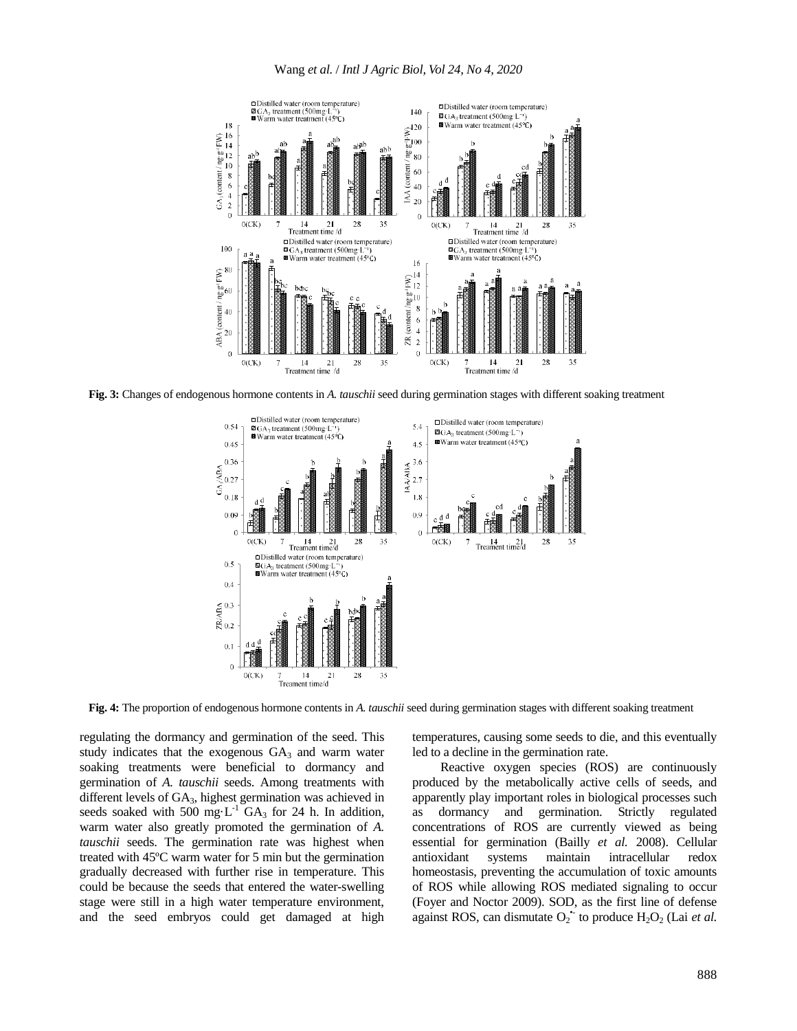

**Fig. 3:** Changes of endogenous hormone contents in *A. tauschii* seed during germination stages with different soaking treatment



**Fig. 4:** The proportion of endogenous hormone contents in *A. tauschii* seed during germination stages with different soaking treatment

regulating the dormancy and germination of the seed. This study indicates that the exogenous  $GA<sub>3</sub>$  and warm water soaking treatments were beneficial to dormancy and germination of *A. tauschii* seeds. Among treatments with different levels of GA3, highest germination was achieved in seeds soaked with 500 mg·L<sup>-1</sup> GA<sub>3</sub> for 24 h. In addition, warm water also greatly promoted the germination of *A. tauschii* seeds. The germination rate was highest when treated with 45ºC warm water for 5 min but the germination gradually decreased with further rise in temperature. This could be because the seeds that entered the water-swelling stage were still in a high water temperature environment, and the seed embryos could get damaged at high temperatures, causing some seeds to die, and this eventually led to a decline in the germination rate.

Reactive oxygen species (ROS) are continuously produced by the metabolically active cells of seeds, and apparently play important roles in biological processes such as dormancy and germination. Strictly regulated concentrations of ROS are currently viewed as being essential for germination (Bailly *et al.* 2008). Cellular antioxidant systems maintain intracellular redox homeostasis, preventing the accumulation of toxic amounts of ROS while allowing ROS mediated signaling to occur (Foyer and Noctor 2009). SOD, as the first line of defense against ROS, can dismutate  $O_2$ <sup>\*</sup> to produce  $H_2O_2$  (Lai *et al.*)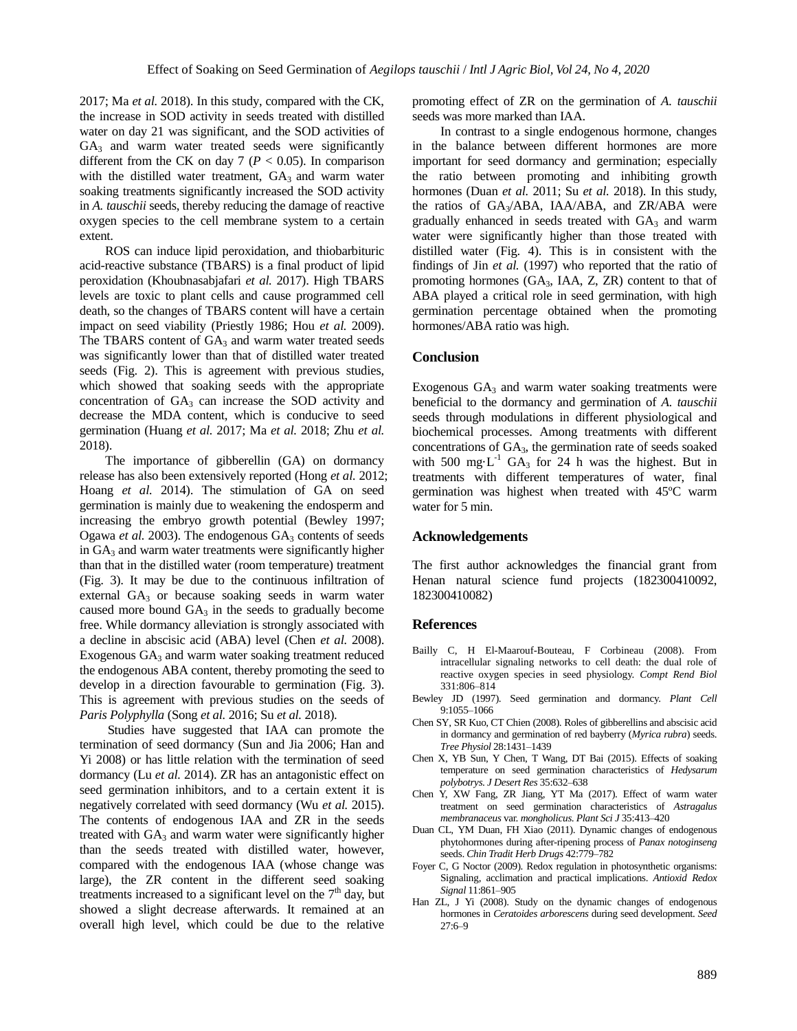2017; Ma *et al.* 2018). In this study, compared with the CK, the increase in SOD activity in seeds treated with distilled water on day 21 was significant, and the SOD activities of  $GA<sub>3</sub>$  and warm water treated seeds were significantly different from the CK on day 7 ( $P < 0.05$ ). In comparison with the distilled water treatment,  $GA_3$  and warm water soaking treatments significantly increased the SOD activity in *A. tauschii* seeds, thereby reducing the damage of reactive oxygen species to the cell membrane system to a certain extent.

ROS can induce lipid peroxidation, and thiobarbituric acid-reactive substance (TBARS) is a final product of lipid peroxidation (Khoubnasabjafari *et al.* 2017). High TBARS levels are toxic to plant cells and cause programmed cell death, so the changes of TBARS content will have a certain impact on seed viability (Priestly 1986; Hou *et al.* 2009). The TBARS content of  $GA_3$  and warm water treated seeds was significantly lower than that of distilled water treated seeds (Fig. 2). This is agreement with previous studies, which showed that soaking seeds with the appropriate concentration of  $GA<sub>3</sub>$  can increase the SOD activity and decrease the MDA content, which is conducive to seed germination (Huang *et al.* 2017; Ma *et al.* 2018; Zhu *et al.* 2018).

The importance of gibberellin (GA) on dormancy release has also been extensively reported (Hong *et al.* 2012; Hoang *et al.* 2014). The stimulation of GA on seed germination is mainly due to weakening the endosperm and increasing the embryo growth potential (Bewley 1997; Ogawa *et al.* 2003). The endogenous  $GA_3$  contents of seeds in GA<sub>3</sub> and warm water treatments were significantly higher than that in the distilled water (room temperature) treatment (Fig. 3). It may be due to the continuous infiltration of external  $GA_3$  or because soaking seeds in warm water caused more bound  $GA_3$  in the seeds to gradually become free. While dormancy alleviation is strongly associated with a decline in abscisic acid (ABA) level (Chen *et al.* 2008). Exogenous  $GA_3$  and warm water soaking treatment reduced the endogenous ABA content, thereby promoting the seed to develop in a direction favourable to germination (Fig. 3). This is agreement with previous studies on the seeds of *Paris Polyphylla* (Song *et al.* 2016; Su *et al.* 2018).

Studies have suggested that IAA can promote the termination of seed dormancy (Sun and Jia 2006; Han and Yi 2008) or has little relation with the termination of seed dormancy (Lu *et al.* 2014). ZR has an antagonistic effect on seed germination inhibitors, and to a certain extent it is negatively correlated with seed dormancy (Wu *et al.* 2015). The contents of endogenous IAA and ZR in the seeds treated with  $GA_3$  and warm water were significantly higher than the seeds treated with distilled water, however, compared with the endogenous IAA (whose change was large), the ZR content in the different seed soaking treatments increased to a significant level on the  $7<sup>th</sup>$  day, but showed a slight decrease afterwards. It remained at an overall high level, which could be due to the relative

promoting effect of ZR on the germination of *A. tauschii* seeds was more marked than IAA.

In contrast to a single endogenous hormone, changes in the balance between different hormones are more important for seed dormancy and germination; especially the ratio between promoting and inhibiting growth hormones (Duan *et al.* 2011; Su *et al.* 2018). In this study, the ratios of GA3/ABA, IAA/ABA, and ZR/ABA were gradually enhanced in seeds treated with GA<sub>3</sub> and warm water were significantly higher than those treated with distilled water (Fig. 4). This is in consistent with the findings of Jin *et al.* (1997) who reported that the ratio of promoting hormones  $(GA_3, IAA, Z, ZR)$  content to that of ABA played a critical role in seed germination, with high germination percentage obtained when the promoting hormones/ABA ratio was high.

#### **Conclusion**

Exogenous  $GA_3$  and warm water soaking treatments were beneficial to the dormancy and germination of *A. tauschii*  seeds through modulations in different physiological and biochemical processes. Among treatments with different concentrations of GA3, the germination rate of seeds soaked with 500 mg·L<sup>-1</sup> GA<sub>3</sub> for 24 h was the highest. But in treatments with different temperatures of water, final germination was highest when treated with 45ºC warm water for 5 min.

# **Acknowledgements**

The first author acknowledges the financial grant from Henan natural science fund projects (182300410092, 182300410082)

#### **References**

- Bailly C, H El-Maarouf-Bouteau, F Corbineau (2008). From intracellular signaling networks to cell death: the dual role of reactive oxygen species in seed physiology. *Compt Rend Biol* 331:806‒814
- Bewley JD (1997). Seed germination and dormancy. *Plant Cell* 9:1055‒1066
- Chen SY, SR Kuo, CT Chien (2008). Roles of gibberellins and abscisic acid in dormancy and germination of red bayberry (*Myrica rubra*) seeds. *Tree Physiol* 28:1431‒1439
- Chen X, YB Sun, Y Chen, T Wang, DT Bai (2015). Effects of soaking temperature on seed germination characteristics of *Hedysarum polybotrys*. *J Desert Res* 35:632‒638
- Chen Y, XW Fang, ZR Jiang, YT Ma (2017). Effect of warm water treatment on seed germination characteristics of *Astragalus membranaceus* var. *mongholicus*. *Plant Sci J* 35:413‒420
- Duan CL, YM Duan, FH Xiao (2011). Dynamic changes of endogenous phytohormones during after-ripening process of *Panax notoginseng* seeds. *Chin Tradit Herb Drugs* 42:779-782
- Foyer C, G Noctor (2009). Redox regulation in photosynthetic organisms: Signaling, acclimation and practical implications. *Antioxid Redox Signal* 11:861‒905
- Han ZL, J Yi (2008). Study on the dynamic changes of endogenous hormones in *Ceratoides arborescens* during seed development. *Seed*  $27:6-9$